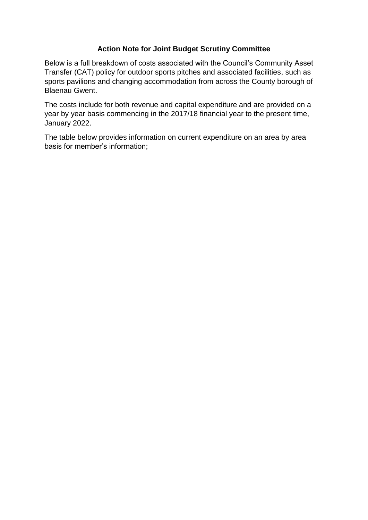## **Action Note for Joint Budget Scrutiny Committee**

Below is a full breakdown of costs associated with the Council's Community Asset Transfer (CAT) policy for outdoor sports pitches and associated facilities, such as sports pavilions and changing accommodation from across the County borough of Blaenau Gwent.

The costs include for both revenue and capital expenditure and are provided on a year by year basis commencing in the 2017/18 financial year to the present time, January 2022.

The table below provides information on current expenditure on an area by area basis for member's information;